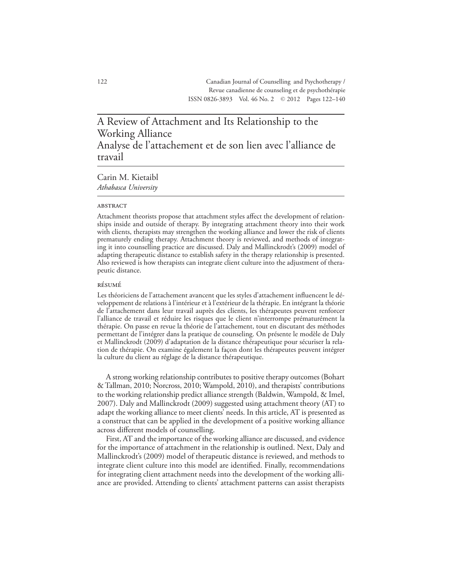# A Review of Attachment and Its Relationship to the Working Alliance Analyse de l'attachement et de son lien avec l'alliance de travail

## Carin M. Kietaibl *Athabasca University*

#### **ABSTRACT**

Attachment theorists propose that attachment styles affect the development of relationships inside and outside of therapy. By integrating attachment theory into their work with clients, therapists may strengthen the working alliance and lower the risk of clients prematurely ending therapy. Attachment theory is reviewed, and methods of integrating it into counselling practice are discussed. Daly and Mallinckrodt's (2009) model of adapting therapeutic distance to establish safety in the therapy relationship is presented. Also reviewed is how therapists can integrate client culture into the adjustment of therapeutic distance.

## résumé

Les théoriciens de l'attachement avancent que les styles d'attachement influencent le développement de relations à l'intérieur et à l'extérieur de la thérapie. En intégrant la théorie de l'attachement dans leur travail auprès des clients, les thérapeutes peuvent renforcer l'alliance de travail et réduire les risques que le client n'interrompe prématurément la thérapie. On passe en revue la théorie de l'attachement, tout en discutant des méthodes permettant de l'intégrer dans la pratique de counseling. On présente le modèle de Daly et Mallinckrodt (2009) d'adaptation de la distance thérapeutique pour sécuriser la relation de thérapie. On examine également la façon dont les thérapeutes peuvent intégrer la culture du client au réglage de la distance thérapeutique.

A strong working relationship contributes to positive therapy outcomes (Bohart & Tallman, 2010; Norcross, 2010; Wampold, 2010), and therapists' contributions to the working relationship predict alliance strength (Baldwin, Wampold, & Imel, 2007). Daly and Mallinckrodt (2009) suggested using attachment theory (AT) to adapt the working alliance to meet clients' needs. In this article, AT is presented as a construct that can be applied in the development of a positive working alliance across different models of counselling.

First, AT and the importance of the working alliance are discussed, and evidence for the importance of attachment in the relationship is outlined. Next, Daly and Mallinckrodt's (2009) model of therapeutic distance is reviewed, and methods to integrate client culture into this model are identified. Finally, recommendations for integrating client attachment needs into the development of the working alliance are provided. Attending to clients' attachment patterns can assist therapists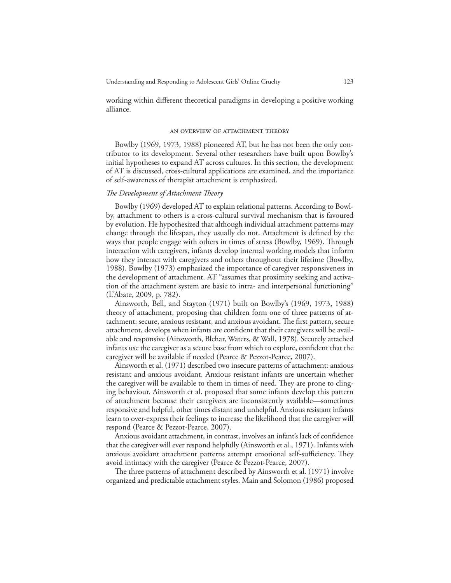working within different theoretical paradigms in developing a positive working alliance.

#### an overview of attachment theory

Bowlby (1969, 1973, 1988) pioneered AT, but he has not been the only contributor to its development. Several other researchers have built upon Bowlby's initial hypotheses to expand AT across cultures. In this section, the development of AT is discussed, cross-cultural applications are examined, and the importance of self-awareness of therapist attachment is emphasized.

## *The Development of Attachment Theory*

Bowlby (1969) developed AT to explain relational patterns. According to Bowlby, attachment to others is a cross-cultural survival mechanism that is favoured by evolution. He hypothesized that although individual attachment patterns may change through the lifespan, they usually do not. Attachment is defined by the ways that people engage with others in times of stress (Bowlby, 1969). Through interaction with caregivers, infants develop internal working models that inform how they interact with caregivers and others throughout their lifetime (Bowlby, 1988). Bowlby (1973) emphasized the importance of caregiver responsiveness in the development of attachment. AT "assumes that proximity seeking and activation of the attachment system are basic to intra- and interpersonal functioning" (L'Abate, 2009, p. 782).

Ainsworth, Bell, and Stayton (1971) built on Bowlby's (1969, 1973, 1988) theory of attachment, proposing that children form one of three patterns of attachment: secure, anxious resistant, and anxious avoidant. The first pattern, secure attachment, develops when infants are confident that their caregivers will be available and responsive (Ainsworth, Blehar, Waters, & Wall, 1978). Securely attached infants use the caregiver as a secure base from which to explore, confident that the caregiver will be available if needed (Pearce & Pezzot-Pearce, 2007).

Ainsworth et al. (1971) described two insecure patterns of attachment: anxious resistant and anxious avoidant. Anxious resistant infants are uncertain whether the caregiver will be available to them in times of need. They are prone to clinging behaviour. Ainsworth et al. proposed that some infants develop this pattern of attachment because their caregivers are inconsistently available—sometimes responsive and helpful, other times distant and unhelpful. Anxious resistant infants learn to over-express their feelings to increase the likelihood that the caregiver will respond (Pearce & Pezzot-Pearce, 2007).

Anxious avoidant attachment, in contrast, involves an infant's lack of confidence that the caregiver will ever respond helpfully (Ainsworth et al., 1971). Infants with anxious avoidant attachment patterns attempt emotional self-sufficiency. They avoid intimacy with the caregiver (Pearce & Pezzot-Pearce, 2007).

The three patterns of attachment described by Ainsworth et al. (1971) involve organized and predictable attachment styles. Main and Solomon (1986) proposed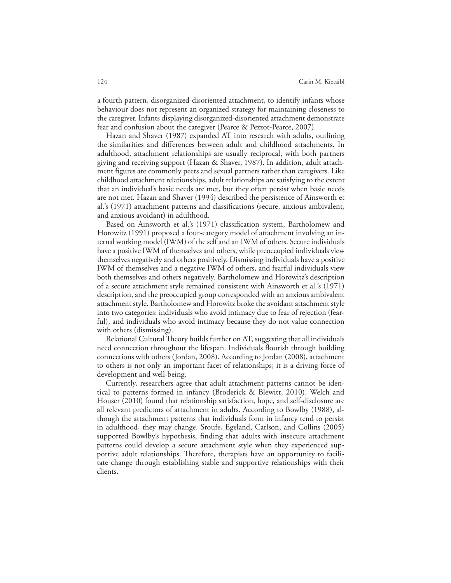a fourth pattern, disorganized-disoriented attachment, to identify infants whose behaviour does not represent an organized strategy for maintaining closeness to the caregiver. Infants displaying disorganized-disoriented attachment demonstrate fear and confusion about the caregiver (Pearce & Pezzot-Pearce, 2007).

Hazan and Shaver (1987) expanded AT into research with adults, outlining the similarities and differences between adult and childhood attachments. In adulthood, attachment relationships are usually reciprocal, with both partners giving and receiving support (Hazan & Shaver, 1987). In addition, adult attachment figures are commonly peers and sexual partners rather than caregivers. Like childhood attachment relationships, adult relationships are satisfying to the extent that an individual's basic needs are met, but they often persist when basic needs are not met. Hazan and Shaver (1994) described the persistence of Ainsworth et al.'s (1971) attachment patterns and classifications (secure, anxious ambivalent, and anxious avoidant) in adulthood.

Based on Ainsworth et al.'s (1971) classification system, Bartholomew and Horowitz (1991) proposed a four-category model of attachment involving an internal working model (IWM) of the self and an IWM of others. Secure individuals have a positive IWM of themselves and others, while preoccupied individuals view themselves negatively and others positively. Dismissing individuals have a positive IWM of themselves and a negative IWM of others, and fearful individuals view both themselves and others negatively. Bartholomew and Horowitz's description of a secure attachment style remained consistent with Ainsworth et al.'s (1971) description, and the preoccupied group corresponded with an anxious ambivalent attachment style. Bartholomew and Horowitz broke the avoidant attachment style into two categories: individuals who avoid intimacy due to fear of rejection (fearful), and individuals who avoid intimacy because they do not value connection with others (dismissing).

Relational Cultural Theory builds further on AT, suggesting that all individuals need connection throughout the lifespan. Individuals flourish through building connections with others (Jordan, 2008). According to Jordan (2008), attachment to others is not only an important facet of relationships; it is a driving force of development and well-being.

Currently, researchers agree that adult attachment patterns cannot be identical to patterns formed in infancy (Broderick & Blewitt, 2010). Welch and Houser (2010) found that relationship satisfaction, hope, and self-disclosure are all relevant predictors of attachment in adults. According to Bowlby (1988), although the attachment patterns that individuals form in infancy tend to persist in adulthood, they may change. Sroufe, Egeland, Carlson, and Collins (2005) supported Bowlby's hypothesis, finding that adults with insecure attachment patterns could develop a secure attachment style when they experienced supportive adult relationships. Therefore, therapists have an opportunity to facilitate change through establishing stable and supportive relationships with their clients.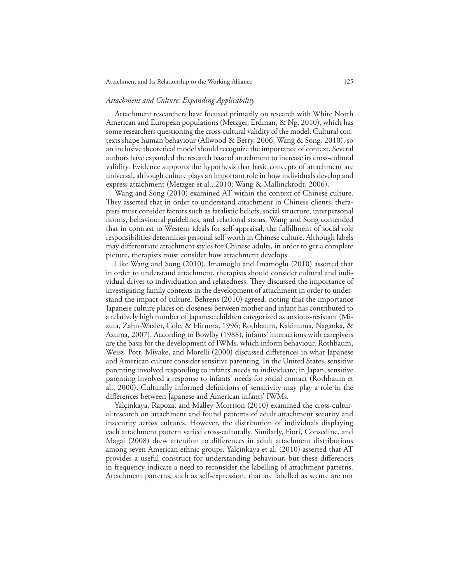## *Attachment and Culture: Expanding Applicability*

Attachment researchers have focused primarily on research with White North American and European populations (Metzger, Erdman, & Ng, 2010), which has some researchers questioning the cross-cultural validity of the model. Cultural contexts shape human behaviour (Allwood & Berry, 2006; Wang & Song, 2010), so an inclusive theoretical model should recognize the importance of context. Several authors have expanded the research base of attachment to increase its cross-cultural validity. Evidence supports the hypothesis that basic concepts of attachment are universal, although culture plays an important role in how individuals develop and express attachment (Metzger et al., 2010; Wang & Mallinckrodt, 2006).

Wang and Song (2010) examined AT within the context of Chinese culture. They asserted that in order to understand attachment in Chinese clients, therapists must consider factors such as fatalistic beliefs, social structure, interpersonal norms, behavioural guidelines, and relational status. Wang and Song contended that in contrast to Western ideals for self-appraisal, the fulfillment of social role responsibilities determines personal self-worth in Chinese culture. Although labels may differentiate attachment styles for Chinese adults, in order to get a complete picture, therapists must consider how attachment develops.

Like Wang and Song (2010), Imamoğlu and Imamoğlu (2010) asserted that in order to understand attachment, therapists should consider cultural and individual drives to individuation and relatedness. They discussed the importance of investigating family contexts in the development of attachment in order to understand the impact of culture. Behrens (2010) agreed, noting that the importance Japanese culture places on closeness between mother and infant has contributed to a relatively high number of Japanese children categorized as anxious-resistant (Mizuta, Zahn-Waxler, Cole, & Hiruma, 1996; Rothbaum, Kakinuma, Nagaoka, & Azuma, 2007). According to Bowlby (1988), infants' interactions with caregivers are the basis for the development of IWMs, which inform behaviour. Rothbaum, Weisz, Pott, Miyake, and Morelli (2000) discussed differences in what Japanese and American culture consider sensitive parenting. In the United States, sensitive parenting involved responding to infants' needs to individuate; in Japan, sensitive parenting involved a response to infants' needs for social contact (Rothbaum et al., 2000). Culturally informed definitions of sensitivity may play a role in the differences between Japanese and American infants' IWMs.

Yalçinkaya, Rapoza, and Malley-Morrison (2010) examined the cross-cultural research on attachment and found patterns of adult attachment security and insecurity across cultures. However, the distribution of individuals displaying each attachment pattern varied cross-culturally. Similarly, Fiori, Consedine, and Magai (2008) drew attention to differences in adult attachment distributions among seven American ethnic groups. Yalçinkaya et al. (2010) asserted that AT provides a useful construct for understanding behaviour, but these differences in frequency indicate a need to reconsider the labelling of attachment patterns. Attachment patterns, such as self-expression, that are labelled as secure are not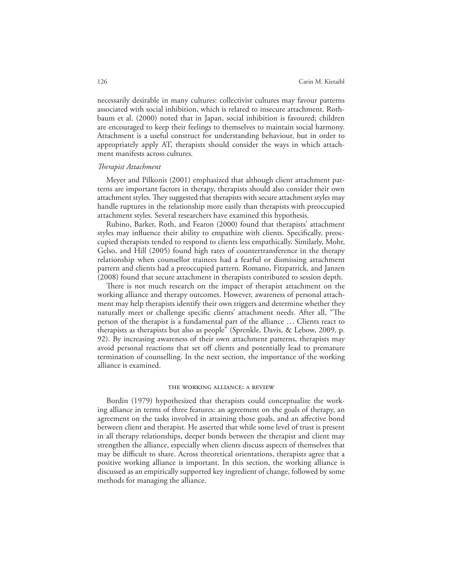necessarily desirable in many cultures: collectivist cultures may favour patterns associated with social inhibition, which is related to insecure attachment. Rothbaum et al. (2000) noted that in Japan, social inhibition is favoured; children are encouraged to keep their feelings to themselves to maintain social harmony. Attachment is a useful construct for understanding behaviour, but in order to appropriately apply AT, therapists should consider the ways in which attachment manifests across cultures.

### *Therapist Attachment*

Meyer and Pilkonis (2001) emphasized that although client attachment patterns are important factors in therapy, therapists should also consider their own attachment styles. They suggested that therapists with secure attachment styles may handle ruptures in the relationship more easily than therapists with preoccupied attachment styles. Several researchers have examined this hypothesis.

Rubino, Barker, Roth, and Fearon (2000) found that therapists' attachment styles may influence their ability to empathize with clients. Specifically, preoccupied therapists tended to respond to clients less empathically. Similarly, Mohr, Gelso, and Hill (2005) found high rates of countertransference in the therapy relationship when counsellor trainees had a fearful or dismissing attachment pattern and clients had a preoccupied pattern. Romano, Fitzpatrick, and Janzen (2008) found that secure attachment in therapists contributed to session depth.

There is not much research on the impact of therapist attachment on the working alliance and therapy outcomes. However, awareness of personal attachment may help therapists identify their own triggers and determine whether they naturally meet or challenge specific clients' attachment needs. After all, "The person of the therapist is a fundamental part of the alliance … Clients react to therapists as therapists but also as people" (Sprenkle, Davis, & Lebow, 2009, p. 92). By increasing awareness of their own attachment patterns, therapists may avoid personal reactions that set off clients and potentially lead to premature termination of counselling. In the next section, the importance of the working alliance is examined.

#### the working alliance: a review

Bordin (1979) hypothesized that therapists could conceptualize the working alliance in terms of three features: an agreement on the goals of therapy, an agreement on the tasks involved in attaining those goals, and an affective bond between client and therapist. He asserted that while some level of trust is present in all therapy relationships, deeper bonds between the therapist and client may strengthen the alliance, especially when clients discuss aspects of themselves that may be difficult to share. Across theoretical orientations, therapists agree that a positive working alliance is important. In this section, the working alliance is discussed as an empirically supported key ingredient of change, followed by some methods for managing the alliance.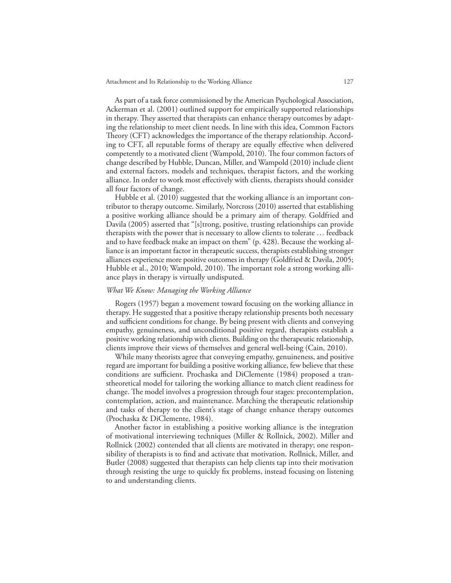As part of a task force commissioned by the American Psychological Association, Ackerman et al. (2001) outlined support for empirically supported relationships in therapy. They asserted that therapists can enhance therapy outcomes by adapting the relationship to meet client needs. In line with this idea, Common Factors Theory (CFT) acknowledges the importance of the therapy relationship. According to CFT, all reputable forms of therapy are equally effective when delivered competently to a motivated client (Wampold, 2010). The four common factors of change described by Hubble, Duncan, Miller, and Wampold (2010) include client and external factors, models and techniques, therapist factors, and the working alliance. In order to work most effectively with clients, therapists should consider all four factors of change.

Hubble et al. (2010) suggested that the working alliance is an important contributor to therapy outcome. Similarly, Norcross (2010) asserted that establishing a positive working alliance should be a primary aim of therapy. Goldfried and Davila (2005) asserted that "[s]trong, positive, trusting relationships can provide therapists with the power that is necessary to allow clients to tolerate … feedback and to have feedback make an impact on them" (p. 428). Because the working alliance is an important factor in therapeutic success, therapists establishing stronger alliances experience more positive outcomes in therapy (Goldfried & Davila, 2005; Hubble et al., 2010; Wampold, 2010). The important role a strong working alliance plays in therapy is virtually undisputed.

## *What We Know: Managing the Working Alliance*

Rogers (1957) began a movement toward focusing on the working alliance in therapy. He suggested that a positive therapy relationship presents both necessary and sufficient conditions for change. By being present with clients and conveying empathy, genuineness, and unconditional positive regard, therapists establish a positive working relationship with clients. Building on the therapeutic relationship, clients improve their views of themselves and general well-being (Cain, 2010).

While many theorists agree that conveying empathy, genuineness, and positive regard are important for building a positive working alliance, few believe that these conditions are sufficient. Prochaska and DiClemente (1984) proposed a transtheoretical model for tailoring the working alliance to match client readiness for change. The model involves a progression through four stages: precontemplation, contemplation, action, and maintenance. Matching the therapeutic relationship and tasks of therapy to the client's stage of change enhance therapy outcomes (Prochaska & DiClemente, 1984).

Another factor in establishing a positive working alliance is the integration of motivational interviewing techniques (Miller & Rollnick, 2002). Miller and Rollnick (2002) contended that all clients are motivated in therapy; one responsibility of therapists is to find and activate that motivation. Rollnick, Miller, and Butler (2008) suggested that therapists can help clients tap into their motivation through resisting the urge to quickly fix problems, instead focusing on listening to and understanding clients.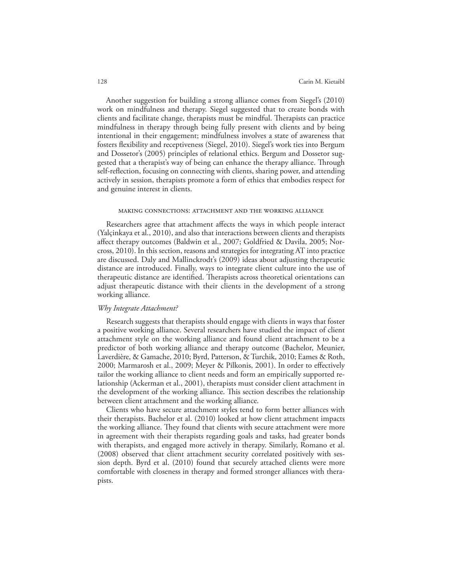Another suggestion for building a strong alliance comes from Siegel's (2010) work on mindfulness and therapy. Siegel suggested that to create bonds with clients and facilitate change, therapists must be mindful. Therapists can practice mindfulness in therapy through being fully present with clients and by being intentional in their engagement; mindfulness involves a state of awareness that fosters flexibility and receptiveness (Siegel, 2010). Siegel's work ties into Bergum and Dossetor's (2005) principles of relational ethics. Bergum and Dossetor suggested that a therapist's way of being can enhance the therapy alliance. Through self-reflection, focusing on connecting with clients, sharing power, and attending actively in session, therapists promote a form of ethics that embodies respect for and genuine interest in clients.

#### making connections: attachment and the working alliance

Researchers agree that attachment affects the ways in which people interact (Yalçinkaya et al., 2010), and also that interactions between clients and therapists affect therapy outcomes (Baldwin et al., 2007; Goldfried & Davila, 2005; Norcross, 2010). In this section, reasons and strategies for integrating AT into practice are discussed. Daly and Mallinckrodt's (2009) ideas about adjusting therapeutic distance are introduced. Finally, ways to integrate client culture into the use of therapeutic distance are identified. Therapists across theoretical orientations can adjust therapeutic distance with their clients in the development of a strong working alliance.

## *Why Integrate Attachment?*

Research suggests that therapists should engage with clients in ways that foster a positive working alliance. Several researchers have studied the impact of client attachment style on the working alliance and found client attachment to be a predictor of both working alliance and therapy outcome (Bachelor, Meunier, Laverdière, & Gamache, 2010; Byrd, Patterson, & Turchik, 2010; Eames & Roth, 2000; Marmarosh et al., 2009; Meyer & Pilkonis, 2001). In order to effectively tailor the working alliance to client needs and form an empirically supported relationship (Ackerman et al., 2001), therapists must consider client attachment in the development of the working alliance. This section describes the relationship between client attachment and the working alliance.

Clients who have secure attachment styles tend to form better alliances with their therapists. Bachelor et al. (2010) looked at how client attachment impacts the working alliance. They found that clients with secure attachment were more in agreement with their therapists regarding goals and tasks, had greater bonds with therapists, and engaged more actively in therapy. Similarly, Romano et al. (2008) observed that client attachment security correlated positively with session depth. Byrd et al. (2010) found that securely attached clients were more comfortable with closeness in therapy and formed stronger alliances with therapists.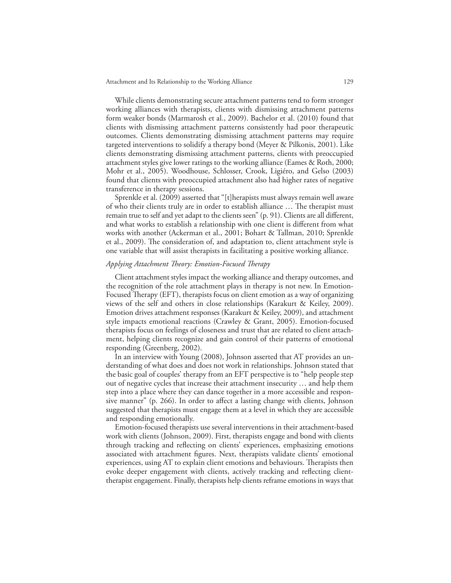While clients demonstrating secure attachment patterns tend to form stronger working alliances with therapists, clients with dismissing attachment patterns form weaker bonds (Marmarosh et al., 2009). Bachelor et al. (2010) found that clients with dismissing attachment patterns consistently had poor therapeutic outcomes. Clients demonstrating dismissing attachment patterns may require targeted interventions to solidify a therapy bond (Meyer & Pilkonis, 2001). Like clients demonstrating dismissing attachment patterns, clients with preoccupied attachment styles give lower ratings to the working alliance (Eames & Roth, 2000; Mohr et al., 2005). Woodhouse, Schlosser, Crook, Ligiéro, and Gelso (2003) found that clients with preoccupied attachment also had higher rates of negative transference in therapy sessions.

Sprenkle et al. (2009) asserted that "[t]herapists must always remain well aware of who their clients truly are in order to establish alliance … The therapist must remain true to self and yet adapt to the clients seen" (p. 91). Clients are all different, and what works to establish a relationship with one client is different from what works with another (Ackerman et al., 2001; Bohart & Tallman, 2010; Sprenkle et al., 2009). The consideration of, and adaptation to, client attachment style is one variable that will assist therapists in facilitating a positive working alliance.

## *Applying Attachment Theory: Emotion-Focused Therapy*

Client attachment styles impact the working alliance and therapy outcomes, and the recognition of the role attachment plays in therapy is not new. In Emotion-Focused Therapy (EFT), therapists focus on client emotion as a way of organizing views of the self and others in close relationships (Karakurt & Keiley, 2009). Emotion drives attachment responses (Karakurt & Keiley, 2009), and attachment style impacts emotional reactions (Crawley & Grant, 2005). Emotion-focused therapists focus on feelings of closeness and trust that are related to client attachment, helping clients recognize and gain control of their patterns of emotional responding (Greenberg, 2002).

In an interview with Young (2008), Johnson asserted that AT provides an understanding of what does and does not work in relationships. Johnson stated that the basic goal of couples' therapy from an EFT perspective is to "help people step out of negative cycles that increase their attachment insecurity … and help them step into a place where they can dance together in a more accessible and responsive manner" (p. 266). In order to affect a lasting change with clients, Johnson suggested that therapists must engage them at a level in which they are accessible and responding emotionally.

Emotion-focused therapists use several interventions in their attachment-based work with clients (Johnson, 2009). First, therapists engage and bond with clients through tracking and reflecting on clients' experiences, emphasizing emotions associated with attachment figures. Next, therapists validate clients' emotional experiences, using AT to explain client emotions and behaviours. Therapists then evoke deeper engagement with clients, actively tracking and reflecting clienttherapist engagement. Finally, therapists help clients reframe emotions in ways that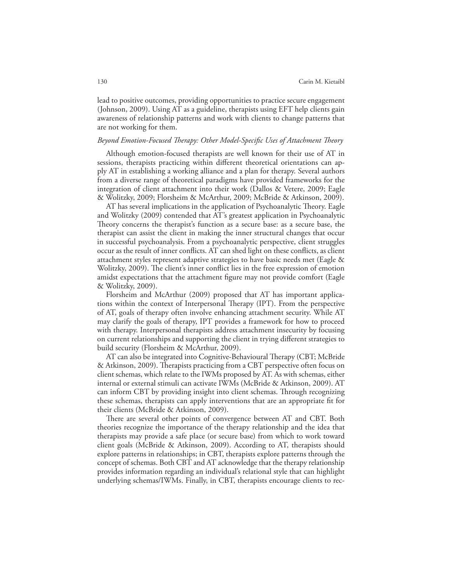lead to positive outcomes, providing opportunities to practice secure engagement (Johnson, 2009). Using AT as a guideline, therapists using EFT help clients gain awareness of relationship patterns and work with clients to change patterns that are not working for them.

## *Beyond Emotion-Focused Therapy: Other Model-Specific Uses of Attachment Theory*

Although emotion-focused therapists are well known for their use of AT in sessions, therapists practicing within different theoretical orientations can apply AT in establishing a working alliance and a plan for therapy. Several authors from a diverse range of theoretical paradigms have provided frameworks for the integration of client attachment into their work (Dallos & Vetere, 2009; Eagle & Wolitzky, 2009; Florsheim & McArthur, 2009; McBride & Atkinson, 2009).

AT has several implications in the application of Psychoanalytic Theory. Eagle and Wolitzky (2009) contended that AT's greatest application in Psychoanalytic Theory concerns the therapist's function as a secure base: as a secure base, the therapist can assist the client in making the inner structural changes that occur in successful psychoanalysis. From a psychoanalytic perspective, client struggles occur as the result of inner conflicts. AT can shed light on these conflicts, as client attachment styles represent adaptive strategies to have basic needs met (Eagle & Wolitzky, 2009). The client's inner conflict lies in the free expression of emotion amidst expectations that the attachment figure may not provide comfort (Eagle & Wolitzky, 2009).

Florsheim and McArthur (2009) proposed that AT has important applications within the context of Interpersonal Therapy (IPT). From the perspective of AT, goals of therapy often involve enhancing attachment security. While AT may clarify the goals of therapy, IPT provides a framework for how to proceed with therapy. Interpersonal therapists address attachment insecurity by focusing on current relationships and supporting the client in trying different strategies to build security (Florsheim & McArthur, 2009).

AT can also be integrated into Cognitive-Behavioural Therapy (CBT; McBride & Atkinson, 2009). Therapists practicing from a CBT perspective often focus on client schemas, which relate to the IWMs proposed by AT. As with schemas, either internal or external stimuli can activate IWMs (McBride & Atkinson, 2009). AT can inform CBT by providing insight into client schemas. Through recognizing these schemas, therapists can apply interventions that are an appropriate fit for their clients (McBride & Atkinson, 2009).

There are several other points of convergence between AT and CBT. Both theories recognize the importance of the therapy relationship and the idea that therapists may provide a safe place (or secure base) from which to work toward client goals (McBride & Atkinson, 2009). According to AT, therapists should explore patterns in relationships; in CBT, therapists explore patterns through the concept of schemas. Both CBT and AT acknowledge that the therapy relationship provides information regarding an individual's relational style that can highlight underlying schemas/IWMs. Finally, in CBT, therapists encourage clients to rec-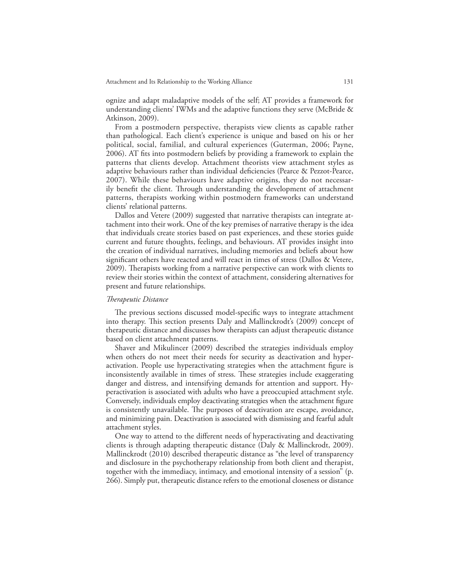ognize and adapt maladaptive models of the self; AT provides a framework for understanding clients' IWMs and the adaptive functions they serve (McBride & Atkinson, 2009).

From a postmodern perspective, therapists view clients as capable rather than pathological. Each client's experience is unique and based on his or her political, social, familial, and cultural experiences (Guterman, 2006; Payne, 2006). AT fits into postmodern beliefs by providing a framework to explain the patterns that clients develop. Attachment theorists view attachment styles as adaptive behaviours rather than individual deficiencies (Pearce & Pezzot-Pearce, 2007). While these behaviours have adaptive origins, they do not necessarily benefit the client. Through understanding the development of attachment patterns, therapists working within postmodern frameworks can understand clients' relational patterns.

Dallos and Vetere (2009) suggested that narrative therapists can integrate attachment into their work. One of the key premises of narrative therapy is the idea that individuals create stories based on past experiences, and these stories guide current and future thoughts, feelings, and behaviours. AT provides insight into the creation of individual narratives, including memories and beliefs about how significant others have reacted and will react in times of stress (Dallos & Vetere, 2009). Therapists working from a narrative perspective can work with clients to review their stories within the context of attachment, considering alternatives for present and future relationships.

## *Therapeutic Distance*

The previous sections discussed model-specific ways to integrate attachment into therapy. This section presents Daly and Mallinckrodt's (2009) concept of therapeutic distance and discusses how therapists can adjust therapeutic distance based on client attachment patterns.

Shaver and Mikulincer (2009) described the strategies individuals employ when others do not meet their needs for security as deactivation and hyperactivation. People use hyperactivating strategies when the attachment figure is inconsistently available in times of stress. These strategies include exaggerating danger and distress, and intensifying demands for attention and support. Hyperactivation is associated with adults who have a preoccupied attachment style. Conversely, individuals employ deactivating strategies when the attachment figure is consistently unavailable. The purposes of deactivation are escape, avoidance, and minimizing pain. Deactivation is associated with dismissing and fearful adult attachment styles.

One way to attend to the different needs of hyperactivating and deactivating clients is through adapting therapeutic distance (Daly & Mallinckrodt, 2009). Mallinckrodt (2010) described therapeutic distance as "the level of transparency and disclosure in the psychotherapy relationship from both client and therapist, together with the immediacy, intimacy, and emotional intensity of a session" (p. 266). Simply put, therapeutic distance refers to the emotional closeness or distance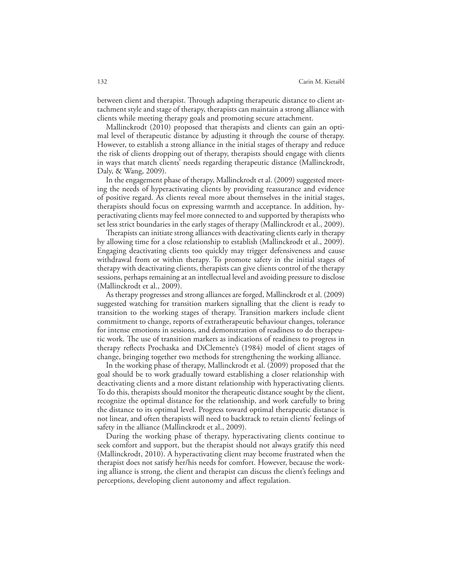between client and therapist. Through adapting therapeutic distance to client attachment style and stage of therapy, therapists can maintain a strong alliance with clients while meeting therapy goals and promoting secure attachment.

Mallinckrodt (2010) proposed that therapists and clients can gain an optimal level of therapeutic distance by adjusting it through the course of therapy. However, to establish a strong alliance in the initial stages of therapy and reduce the risk of clients dropping out of therapy, therapists should engage with clients in ways that match clients' needs regarding therapeutic distance (Mallinckrodt, Daly, & Wang, 2009).

In the engagement phase of therapy, Mallinckrodt et al. (2009) suggested meeting the needs of hyperactivating clients by providing reassurance and evidence of positive regard. As clients reveal more about themselves in the initial stages, therapists should focus on expressing warmth and acceptance. In addition, hyperactivating clients may feel more connected to and supported by therapists who set less strict boundaries in the early stages of therapy (Mallinckrodt et al., 2009).

Therapists can initiate strong alliances with deactivating clients early in therapy by allowing time for a close relationship to establish (Mallinckrodt et al., 2009). Engaging deactivating clients too quickly may trigger defensiveness and cause withdrawal from or within therapy. To promote safety in the initial stages of therapy with deactivating clients, therapists can give clients control of the therapy sessions, perhaps remaining at an intellectual level and avoiding pressure to disclose (Mallinckrodt et al., 2009).

As therapy progresses and strong alliances are forged, Mallinckrodt et al. (2009) suggested watching for transition markers signalling that the client is ready to transition to the working stages of therapy. Transition markers include client commitment to change, reports of extratherapeutic behaviour changes, tolerance for intense emotions in sessions, and demonstration of readiness to do therapeutic work. The use of transition markers as indications of readiness to progress in therapy reflects Prochaska and DiClemente's (1984) model of client stages of change, bringing together two methods for strengthening the working alliance.

In the working phase of therapy, Mallinckrodt et al. (2009) proposed that the goal should be to work gradually toward establishing a closer relationship with deactivating clients and a more distant relationship with hyperactivating clients. To do this, therapists should monitor the therapeutic distance sought by the client, recognize the optimal distance for the relationship, and work carefully to bring the distance to its optimal level. Progress toward optimal therapeutic distance is not linear, and often therapists will need to backtrack to retain clients' feelings of safety in the alliance (Mallinckrodt et al., 2009).

During the working phase of therapy, hyperactivating clients continue to seek comfort and support, but the therapist should not always gratify this need (Mallinckrodt, 2010). A hyperactivating client may become frustrated when the therapist does not satisfy her/his needs for comfort. However, because the working alliance is strong, the client and therapist can discuss the client's feelings and perceptions, developing client autonomy and affect regulation.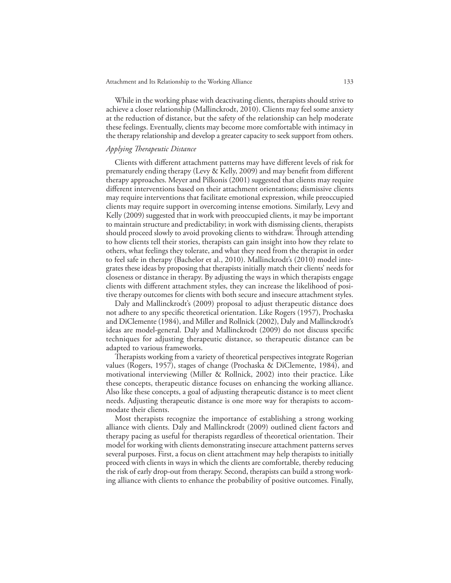While in the working phase with deactivating clients, therapists should strive to achieve a closer relationship (Mallinckrodt, 2010). Clients may feel some anxiety at the reduction of distance, but the safety of the relationship can help moderate these feelings. Eventually, clients may become more comfortable with intimacy in the therapy relationship and develop a greater capacity to seek support from others.

## *Applying Therapeutic Distance*

Clients with different attachment patterns may have different levels of risk for prematurely ending therapy (Levy & Kelly, 2009) and may benefit from different therapy approaches. Meyer and Pilkonis (2001) suggested that clients may require different interventions based on their attachment orientations; dismissive clients may require interventions that facilitate emotional expression, while preoccupied clients may require support in overcoming intense emotions. Similarly, Levy and Kelly (2009) suggested that in work with preoccupied clients, it may be important to maintain structure and predictability; in work with dismissing clients, therapists should proceed slowly to avoid provoking clients to withdraw. Through attending to how clients tell their stories, therapists can gain insight into how they relate to others, what feelings they tolerate, and what they need from the therapist in order to feel safe in therapy (Bachelor et al., 2010). Mallinckrodt's (2010) model integrates these ideas by proposing that therapists initially match their clients' needs for closeness or distance in therapy. By adjusting the ways in which therapists engage clients with different attachment styles, they can increase the likelihood of positive therapy outcomes for clients with both secure and insecure attachment styles.

Daly and Mallinckrodt's (2009) proposal to adjust therapeutic distance does not adhere to any specific theoretical orientation. Like Rogers (1957), Prochaska and DiClemente (1984), and Miller and Rollnick (2002), Daly and Mallinckrodt's ideas are model-general. Daly and Mallinckrodt (2009) do not discuss specific techniques for adjusting therapeutic distance, so therapeutic distance can be adapted to various frameworks.

Therapists working from a variety of theoretical perspectives integrate Rogerian values (Rogers, 1957), stages of change (Prochaska & DiClemente, 1984), and motivational interviewing (Miller & Rollnick, 2002) into their practice. Like these concepts, therapeutic distance focuses on enhancing the working alliance. Also like these concepts, a goal of adjusting therapeutic distance is to meet client needs. Adjusting therapeutic distance is one more way for therapists to accommodate their clients.

Most therapists recognize the importance of establishing a strong working alliance with clients. Daly and Mallinckrodt (2009) outlined client factors and therapy pacing as useful for therapists regardless of theoretical orientation. Their model for working with clients demonstrating insecure attachment patterns serves several purposes. First, a focus on client attachment may help therapists to initially proceed with clients in ways in which the clients are comfortable, thereby reducing the risk of early drop-out from therapy. Second, therapists can build a strong working alliance with clients to enhance the probability of positive outcomes. Finally,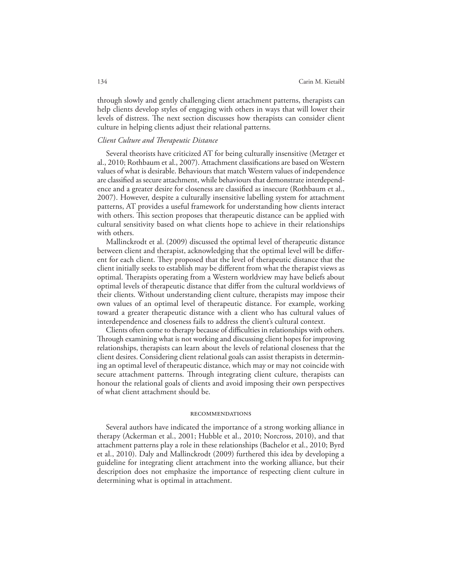through slowly and gently challenging client attachment patterns, therapists can help clients develop styles of engaging with others in ways that will lower their levels of distress. The next section discusses how therapists can consider client culture in helping clients adjust their relational patterns.

## *Client Culture and Therapeutic Distance*

Several theorists have criticized AT for being culturally insensitive (Metzger et al., 2010; Rothbaum et al., 2007). Attachment classifications are based on Western values of what is desirable. Behaviours that match Western values of independence are classified as secure attachment, while behaviours that demonstrate interdependence and a greater desire for closeness are classified as insecure (Rothbaum et al., 2007). However, despite a culturally insensitive labelling system for attachment patterns, AT provides a useful framework for understanding how clients interact with others. This section proposes that therapeutic distance can be applied with cultural sensitivity based on what clients hope to achieve in their relationships with others.

Mallinckrodt et al. (2009) discussed the optimal level of therapeutic distance between client and therapist, acknowledging that the optimal level will be different for each client. They proposed that the level of therapeutic distance that the client initially seeks to establish may be different from what the therapist views as optimal. Therapists operating from a Western worldview may have beliefs about optimal levels of therapeutic distance that differ from the cultural worldviews of their clients. Without understanding client culture, therapists may impose their own values of an optimal level of therapeutic distance. For example, working toward a greater therapeutic distance with a client who has cultural values of interdependence and closeness fails to address the client's cultural context.

Clients often come to therapy because of difficulties in relationships with others. Through examining what is not working and discussing client hopes for improving relationships, therapists can learn about the levels of relational closeness that the client desires. Considering client relational goals can assist therapists in determining an optimal level of therapeutic distance, which may or may not coincide with secure attachment patterns. Through integrating client culture, therapists can honour the relational goals of clients and avoid imposing their own perspectives of what client attachment should be.

#### recommendations

Several authors have indicated the importance of a strong working alliance in therapy (Ackerman et al., 2001; Hubble et al., 2010; Norcross, 2010), and that attachment patterns play a role in these relationships (Bachelor et al., 2010; Byrd et al., 2010). Daly and Mallinckrodt (2009) furthered this idea by developing a guideline for integrating client attachment into the working alliance, but their description does not emphasize the importance of respecting client culture in determining what is optimal in attachment.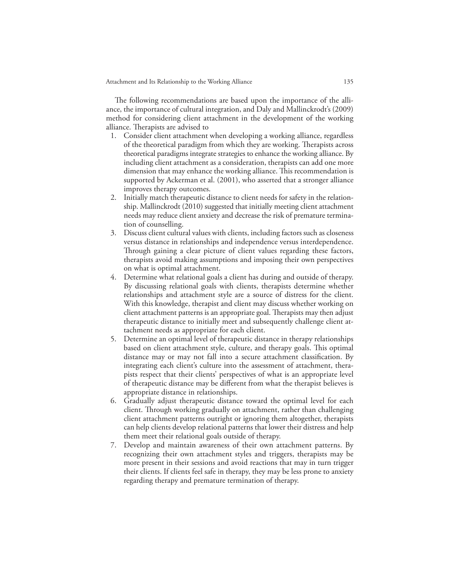The following recommendations are based upon the importance of the alliance, the importance of cultural integration, and Daly and Mallinckrodt's (2009) method for considering client attachment in the development of the working alliance. Therapists are advised to

- 1. Consider client attachment when developing a working alliance, regardless of the theoretical paradigm from which they are working. Therapists across theoretical paradigms integrate strategies to enhance the working alliance. By including client attachment as a consideration, therapists can add one more dimension that may enhance the working alliance. This recommendation is supported by Ackerman et al. (2001), who asserted that a stronger alliance improves therapy outcomes.
- 2. Initially match therapeutic distance to client needs for safety in the relationship. Mallinckrodt (2010) suggested that initially meeting client attachment needs may reduce client anxiety and decrease the risk of premature termination of counselling.
- 3. Discuss client cultural values with clients, including factors such as closeness versus distance in relationships and independence versus interdependence. Through gaining a clear picture of client values regarding these factors, therapists avoid making assumptions and imposing their own perspectives on what is optimal attachment.
- 4. Determine what relational goals a client has during and outside of therapy. By discussing relational goals with clients, therapists determine whether relationships and attachment style are a source of distress for the client. With this knowledge, therapist and client may discuss whether working on client attachment patterns is an appropriate goal. Therapists may then adjust therapeutic distance to initially meet and subsequently challenge client attachment needs as appropriate for each client.
- 5. Determine an optimal level of therapeutic distance in therapy relationships based on client attachment style, culture, and therapy goals. This optimal distance may or may not fall into a secure attachment classification. By integrating each client's culture into the assessment of attachment, therapists respect that their clients' perspectives of what is an appropriate level of therapeutic distance may be different from what the therapist believes is appropriate distance in relationships.
- 6. Gradually adjust therapeutic distance toward the optimal level for each client. Through working gradually on attachment, rather than challenging client attachment patterns outright or ignoring them altogether, therapists can help clients develop relational patterns that lower their distress and help them meet their relational goals outside of therapy.
- 7. Develop and maintain awareness of their own attachment patterns. By recognizing their own attachment styles and triggers, therapists may be more present in their sessions and avoid reactions that may in turn trigger their clients. If clients feel safe in therapy, they may be less prone to anxiety regarding therapy and premature termination of therapy.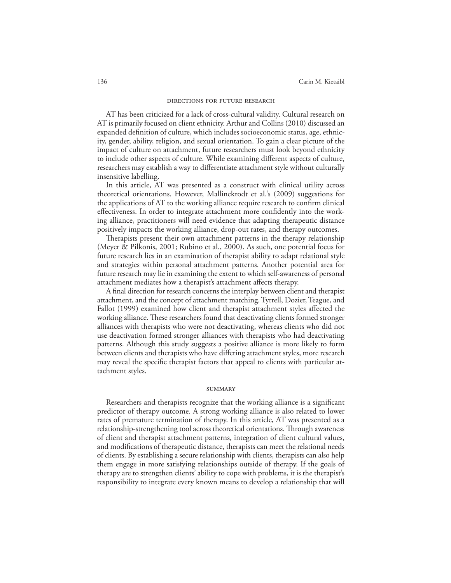#### directions for future research

AT has been criticized for a lack of cross-cultural validity. Cultural research on AT is primarily focused on client ethnicity. Arthur and Collins (2010) discussed an expanded definition of culture, which includes socioeconomic status, age, ethnicity, gender, ability, religion, and sexual orientation. To gain a clear picture of the impact of culture on attachment, future researchers must look beyond ethnicity to include other aspects of culture. While examining different aspects of culture, researchers may establish a way to differentiate attachment style without culturally insensitive labelling.

In this article, AT was presented as a construct with clinical utility across theoretical orientations. However, Mallinckrodt et al.'s (2009) suggestions for the applications of AT to the working alliance require research to confirm clinical effectiveness. In order to integrate attachment more confidently into the working alliance, practitioners will need evidence that adapting therapeutic distance positively impacts the working alliance, drop-out rates, and therapy outcomes.

Therapists present their own attachment patterns in the therapy relationship (Meyer & Pilkonis, 2001; Rubino et al., 2000). As such, one potential focus for future research lies in an examination of therapist ability to adapt relational style and strategies within personal attachment patterns. Another potential area for future research may lie in examining the extent to which self-awareness of personal attachment mediates how a therapist's attachment affects therapy.

A final direction for research concerns the interplay between client and therapist attachment, and the concept of attachment matching. Tyrrell, Dozier, Teague, and Fallot (1999) examined how client and therapist attachment styles affected the working alliance. These researchers found that deactivating clients formed stronger alliances with therapists who were not deactivating, whereas clients who did not use deactivation formed stronger alliances with therapists who had deactivating patterns. Although this study suggests a positive alliance is more likely to form between clients and therapists who have differing attachment styles, more research may reveal the specific therapist factors that appeal to clients with particular attachment styles.

#### **SUMMARY**

Researchers and therapists recognize that the working alliance is a significant predictor of therapy outcome. A strong working alliance is also related to lower rates of premature termination of therapy. In this article, AT was presented as a relationship-strengthening tool across theoretical orientations. Through awareness of client and therapist attachment patterns, integration of client cultural values, and modifications of therapeutic distance, therapists can meet the relational needs of clients. By establishing a secure relationship with clients, therapists can also help them engage in more satisfying relationships outside of therapy. If the goals of therapy are to strengthen clients' ability to cope with problems, it is the therapist's responsibility to integrate every known means to develop a relationship that will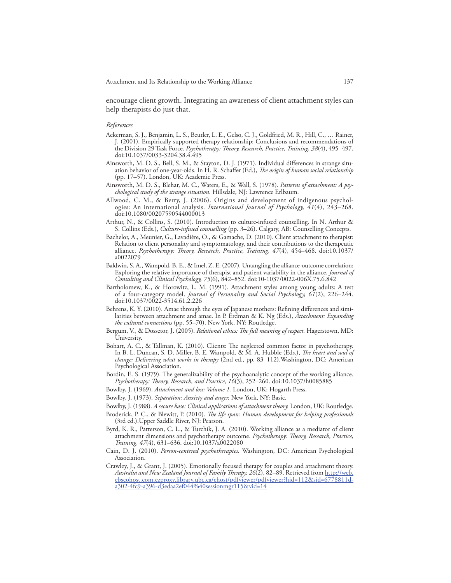encourage client growth. Integrating an awareness of client attachment styles can help therapists do just that.

#### *References*

- Ackerman, S. J., Benjamin, L. S., Beutler, L. E., Gelso, C. J., Goldfried, M. R., Hill, C., … Rainer, J. (2001). Empirically supported therapy relationship: Conclusions and recommendations of the Division 29 Task Force. *Psychotherapy: Theory, Research, Practice, Training, 38*(4), 495–497. doi:10.1037/0033-3204.38.4.495
- Ainsworth, M. D. S., Bell, S. M., & Stayton, D. J. (1971). Individual differences in strange situation behavior of one-year-olds. In H. R. Schaffer (Ed.), *The origin of human social relationship* (pp. 17–57). London, UK: Academic Press.
- Ainsworth, M. D. S., Blehar, M. C., Waters, E., & Wall, S. (1978). *Patterns of attachment: A psychological study of the strange situation.* Hillsdale, NJ: Lawrence Erlbaum.
- Allwood, C. M., & Berry, J. (2006). Origins and development of indigenous psychologies: An international analysis. *International Journal of Psychology, 41*(4), 243–268. doi:10.1080/00207590544000013
- Arthur, N., & Collins, S. (2010). Introduction to culture-infused counselling. In N. Arthur & S. Collins (Eds.), *Culture-infused counselling* (pp. 3–26). Calgary, AB: Counselling Concepts.
- Bachelor, A., Meunier, G., Lavadière, O., & Gamache, D. (2010). Client attachment to therapist: Relation to client personality and symptomatology, and their contributions to the therapeutic alliance. *Psychotherapy: Theory, Research, Practice, Training, 47*(4), 454–468. doi:10.1037/ a0022079
- Baldwin, S. A., Wampold, B. E., & Imel, Z. E. (2007). Untangling the alliance-outcome correlation: Exploring the relative importance of therapist and patient variability in the alliance. *Journal of Consulting and Clinical Psychology, 75*(6), 842–852. doi:10-1037/0022-006X.75.6.842
- Bartholomew, K., & Horowitz, L. M. (1991). Attachment styles among young adults: A test of a four-category model. *Journal of Personality and Social Psychology, 61*(2), 226–244. doi:10.1037/0022-3514.61.2.226
- Behrens, K. Y. (2010). Amae through the eyes of Japanese mothers: Refining differences and similarities between attachment and amae. In P. Erdman & K. Ng (Eds.), *Attachment: Expanding the cultural connections* (pp. 55–70). New York, NY: Routledge.
- Bergum, V., & Dossetor, J. (2005). *Relational ethics: The full meaning of respect.* Hagerstown, MD: University.
- Bohart, A. C., & Tallman, K. (2010). Clients: The neglected common factor in psychotherapy. In B. L. Duncan, S. D. Miller, B. E. Wampold, & M. A. Hubble (Eds.), *The heart and soul of change: Delivering what works in therapy* (2nd ed., pp. 83–112).Washington, DC: American Psychological Association.
- Bordin, E. S. (1979). The generalizability of the psychoanalytic concept of the working alliance. *Psychotherapy: Theory, Research, and Practice, 16*(3), 252–260. doi:10.1037/h0085885
- Bowlby, J. (1969). *Attachment and loss: Volume 1.* London, UK: Hogarth Press.
- Bowlby, J. (1973). *Separation: Anxiety and anger.* New York, NY: Basic.
- Bowlby, J. (1988). *A secure base: Clinical applications of attachment theory.* London, UK: Routledge.
- Broderick, P. C., & Blewitt, P. (2010). *The life span: Human development for helping professionals*  (3rd ed.).Upper Saddle River, NJ: Pearson.
- Byrd, K. R., Patterson, C. L., & Turchik, J. A. (2010). Working alliance as a mediator of client attachment dimensions and psychotherapy outcome. *Psychotherapy: Theory, Research, Practice, Training, 47*(4), 631–636. doi:10.1037/a0022080
- Cain, D. J. (2010). *Person-centered psychotherapies.* Washington, DC: American Psychological Association.
- Crawley, J., & Grant, J. (2005). Emotionally focused therapy for couples and attachment theory. *Australia and New Zealand Journal of Family Therapy, 26*(2), 82–89. Retrieved from http://web. ebscohost.com.ezproxy.library.ubc.ca/ehost/pdfviewer/pdfviewer?hid=112&sid=6778811da302-4fc9-a396-d3edaa2ef044%40sessionmgr115&vid=14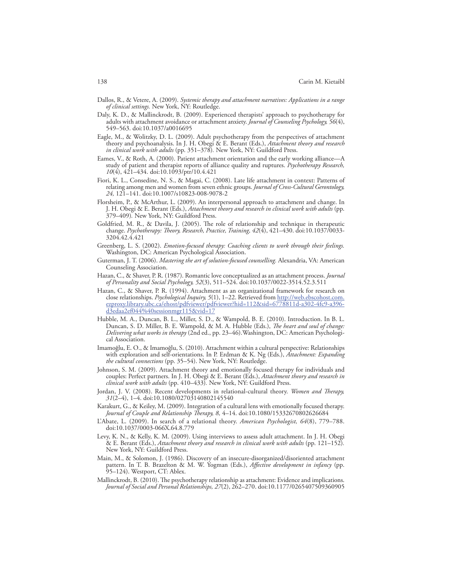- Dallos, R., & Vetere, A. (2009). *Systemic therapy and attachment narratives: Applications in a range of clinical settings.* New York, NY: Routledge.
- Daly, K. D., & Mallinckrodt, B. (2009). Experienced therapists' approach to psychotherapy for adults with attachment avoidance or attachment anxiety. *Journal of Counseling Psychology, 56*(4), 549–563. doi:10.1037/a0016695
- Eagle, M., & Wolitzky, D. L. (2009). Adult psychotherapy from the perspectives of attachment theory and psychoanalysis. In J. H. Obegi & E. Berant (Eds.), *Attachment theory and research in clinical work with adults* (pp. 351–378)*.* New York, NY: Guildford Press.
- Eames, V., & Roth, A. (2000). Patient attachment orientation and the early working alliance—A study of patient and therapist reports of alliance quality and ruptures. *Psychotherapy Research, 10*(4), 421–434. doi:10.1093/ptr/10.4.421
- Fiori, K. L., Consedine, N. S., & Magai, C. (2008). Late life attachment in context: Patterns of relating among men and women from seven ethnic groups. *Journal of Cross-Cultural Gerontology, 24,* 121–141. doi:10.1007/s10823-008-9078-2
- Florsheim, P., & McArthur, L. (2009). An interpersonal approach to attachment and change. In J. H. Obegi & E. Berant (Eds.), *Attachment theory and research in clinical work with adults* (pp. 379–409)*.* New York, NY: Guildford Press.
- Goldfried, M. R., & Davila, J. (2005). The role of relationship and technique in therapeutic change. *Psychotherapy: Theory, Research, Practice, Training, 42*(4), 421–430. doi:10.1037/0033- 3204.42.4.421
- Greenberg, L. S. (2002). *Emotion-focused therapy: Coaching clients to work through their feelings.*  Washington, DC: American Psychological Association.
- Guterman, J. T. (2006). *Mastering the art of solution-focused counselling.* Alexandria, VA: American Counseling Association.
- Hazan, C., & Shaver, P. R. (1987). Romantic love conceptualized as an attachment process. *Journal of Personality and Social Psychology, 52*(3), 511–524. doi:10.1037/0022-3514.52.3.511
- Hazan, C., & Shaver, P. R. (1994). Attachment as an organizational framework for research on close relationships. *Psychological Inquiry, 5*(1), 1–22. Retrieved from http://web.ebscohost.com. ezproxy.library.ubc.ca/ehost/pdfviewer/pdfviewer?hid=112&sid=6778811d-a302-4fc9-a396 d3edaa2ef044%40sessionmgr115&vid=17
- Hubble, M. A., Duncan, B. L., Miller, S. D., & Wampold, B. E. (2010). Introduction. In B. L. Duncan, S. D. Miller, B. E. Wampold, & M. A. Hubble (Eds.), *The heart and soul of change: Delivering what works in therapy* (2nd ed., pp. 23–46).Washington, DC: American Psychological Association.
- Imamoğlu, E. O., & Imamoğlu, S. (2010). Attachment within a cultural perspective: Relationships with exploration and self-orientations. In P. Erdman & K. Ng (Eds.), *Attachment: Expanding the cultural connections* (pp. 35–54). New York, NY: Routledge.
- Johnson, S. M. (2009). Attachment theory and emotionally focused therapy for individuals and couples: Perfect partners. In J. H. Obegi & E. Berant (Eds.), *Attachment theory and research in clinical work with adults* (pp. 410–433)*.* New York, NY: Guildford Press.
- Jordan, J. V. (2008). Recent developments in relational-cultural theory. *Women and Therapy, 31*(2–4), 1–4. doi:10.1080/02703140802145540
- Karakurt, G., & Keiley, M. (2009). Integration of a cultural lens with emotionally focused therapy. *Journal of Couple and Relationship Therapy, 8,* 4–14. doi:10.1080/15332670802626684
- L'Abate, L. (2009). In search of a relational theory. *American Psychologist, 64*(8), 779–788. doi:10.1037/0003-066X.64.8.779
- Levy, K. N., & Kelly, K. M. (2009). Using interviews to assess adult attachment. In J. H. Obegi & E. Berant (Eds.), *Attachment theory and research in clinical work with adults* (pp. 121–152)*.* New York, NY: Guildford Press.
- Main, M., & Solomon, J. (1986). Discovery of an insecure-disorganized/disoriented attachment pattern. In T. B. Brazelton & M. W. Yogman (Eds.), *Affective development in infancy* (pp. 95–124). Westport, CT: Ablex.
- Mallinckrodt, B. (2010). The psychotherapy relationship as attachment: Evidence and implications. *Journal of Social and Personal Relationships, 27*(2), 262–270. doi:10.1177/0265407509360905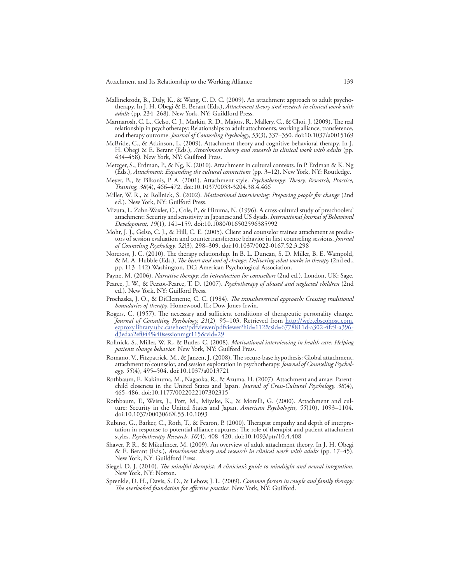- Mallinckrodt, B., Daly, K., & Wang, C. D. C. (2009). An attachment approach to adult psychotherapy. In J. H. Obegi & E. Berant (Eds.), *Attachment theory and research in clinical work with adults* (pp. 234–268)*.* New York, NY: Guildford Press.
- Marmarosh, C. L., Gelso, C. J., Markin, R. D., Majors, R., Mallery, C., & Choi, J. (2009). The real relationship in psychotherapy: Relationships to adult attachments, working alliance, transference, and therapy outcome. *Journal of Counseling Psychology, 53*(3), 337–350. doi:10.1037/a0015169
- McBride, C., & Atkinson, L. (2009). Attachment theory and cognitive-behavioral therapy. In J. H. Obegi & E. Berant (Eds.), *Attachment theory and research in clinical work with adults* (pp. 434–458)*.* New York, NY: Guilford Press.
- Metzger, S., Erdman, P., & Ng, K. (2010). Attachment in cultural contexts. In P. Erdman & K. Ng (Eds.), *Attachment: Expanding the cultural connections* (pp. 3–12). New York, NY: Routledge.
- Meyer, B., & Pilkonis, P. A. (2001). Attachment style. *Psychotherapy: Theory, Research, Practice, Training, 38*(4), 466–472. doi:10.1037/0033-3204.38.4.466
- Miller, W. R., & Rollnick, S. (2002). *Motivational interviewing: Preparing people for change* (2nd ed.). New York, NY: Guilford Press.
- Mizuta, I., Zahn-Waxler, C., Cole, P., & Hiruma, N. (1996). A cross-cultural study of preschoolers' attachment: Security and sensitivity in Japanese and US dyads. *International Journal of Behavioral Development, 19*(1), 141–159. doi:10.1080/016502596385992
- Mohr, J. J., Gelso, C. J., & Hill, C. E. (2005). Client and counselor trainee attachment as predictors of session evaluation and countertransference behavior in first counseling sessions. *Journal of Counseling Psychology, 52*(3), 298–309. doi:10.1037/0022-0167.52.3.298
- Norcross, J. C. (2010). The therapy relationship. In B. L. Duncan, S. D. Miller, B. E. Wampold, & M. A. Hubble (Eds.), *The heart and soul of change: Delivering what works in therapy* (2nd ed., pp. 113–142).Washington, DC: American Psychological Association.
- Payne, M. (2006). *Narrative therapy: An introduction for counsellors* (2nd ed.). London, UK: Sage.
- Pearce, J. W., & Pezzot-Pearce, T. D. (2007). *Psychotherapy of abused and neglected children* (2nd ed.). New York, NY: Guilford Press.
- Prochaska, J. O., & DiClemente, C. C. (1984). *The transtheoretical approach: Crossing traditional boundaries of therapy.* Homewood, IL: Dow Jones-Irwin.
- Rogers, C. (1957). The necessary and sufficient conditions of therapeutic personality change. *Journal of Consulting Psychology, 21*(2)*,* 95–103. Retrieved from http://web.ebscohost.com. ezproxy.library.ubc.ca/ehost/pdfviewer/pdfviewer?hid=112&sid=6778811d-a302-4fc9-a396 d3edaa2ef044%40sessionmgr115&vid=29
- Rollnick, S., Miller, W. R., & Butler, C. (2008). *Motivational interviewing in health care: Helping patients change behavior.* New York, NY: Guilford Press.
- Romano, V., Fitzpatrick, M., & Janzen, J. (2008). The secure-base hypothesis: Global attachment, attachment to counselor, and session exploration in psychotherapy. *Journal of Counseling Psychology, 55*(4), 495–504. doi:10.1037/a0013721
- Rothbaum, F., Kakinuma, M., Nagaoka, R., & Azuma, H. (2007). Attachment and amae: Parentchild closeness in the United States and Japan. *Journal of Cross-Cultural Psychology, 38*(4), 465–486. doi:10.1177/0022022107302315
- Rothbaum, F., Weisz, J., Pott, M., Miyake, K., & Morelli, G. (2000). Attachment and culture: Security in the United States and Japan. *American Psychologist, 55*(10), 1093–1104. doi:10.1037/0003066X.55.10.1093
- Rubino, G., Barker, C., Roth, T., & Fearon, P. (2000). Therapist empathy and depth of interpretation in response to potential alliance ruptures: The role of therapist and patient attachment styles. *Psychotherapy Research, 10*(4), 408–420. doi:10.1093/ptr/10.4.408
- Shaver, P. R., & Mikulincer, M. (2009). An overview of adult attachment theory. In J. H. Obegi & E. Berant (Eds.), *Attachment theory and research in clinical work with adults* (pp. 17–45)*.* New York, NY: Guildford Press.
- Siegel, D. J. (2010). *The mindful therapist: A clinician's guide to mindsight and neural integration.*  New York, NY: Norton.
- Sprenkle, D. H., Davis, S. D., & Lebow, J. L. (2009). *Common factors in couple and family therapy: The overlooked foundation for effective practice.* New York, NY: Guilford.